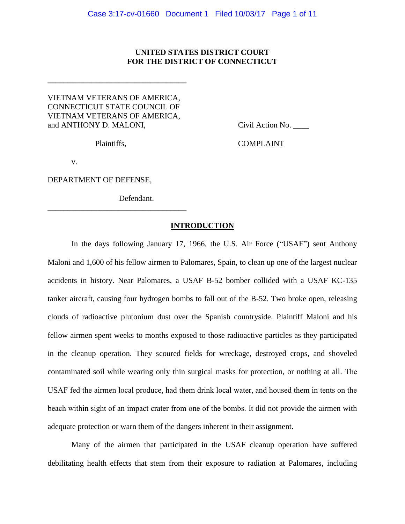## **UNITED STATES DISTRICT COURT FOR THE DISTRICT OF CONNECTICUT**

# VIETNAM VETERANS OF AMERICA, CONNECTICUT STATE COUNCIL OF VIETNAM VETERANS OF AMERICA, and ANTHONY D. MALONI, Civil Action No.

**\_\_\_\_\_\_\_\_\_\_\_\_\_\_\_\_\_\_\_\_\_\_\_\_\_\_\_\_\_\_\_\_\_\_\_**

**\_\_\_\_\_\_\_\_\_\_\_\_\_\_\_\_\_\_\_\_\_\_\_\_\_\_\_\_\_\_\_\_\_\_\_**

Plaintiffs, COMPLAINT

v.

DEPARTMENT OF DEFENSE,

Defendant.

### **INTRODUCTION**

In the days following January 17, 1966, the U.S. Air Force ("USAF") sent Anthony Maloni and 1,600 of his fellow airmen to Palomares, Spain, to clean up one of the largest nuclear accidents in history. Near Palomares, a USAF B-52 bomber collided with a USAF KC-135 tanker aircraft, causing four hydrogen bombs to fall out of the B-52. Two broke open, releasing clouds of radioactive plutonium dust over the Spanish countryside. Plaintiff Maloni and his fellow airmen spent weeks to months exposed to those radioactive particles as they participated in the cleanup operation. They scoured fields for wreckage, destroyed crops, and shoveled contaminated soil while wearing only thin surgical masks for protection, or nothing at all. The USAF fed the airmen local produce, had them drink local water, and housed them in tents on the beach within sight of an impact crater from one of the bombs. It did not provide the airmen with adequate protection or warn them of the dangers inherent in their assignment.

Many of the airmen that participated in the USAF cleanup operation have suffered debilitating health effects that stem from their exposure to radiation at Palomares, including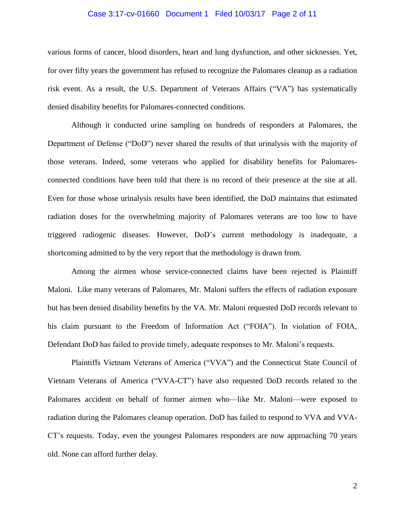### Case 3:17-cv-01660 Document 1 Filed 10/03/17 Page 2 of 11

various forms of cancer, blood disorders, heart and lung dysfunction, and other sicknesses. Yet, for over fifty years the government has refused to recognize the Palomares cleanup as a radiation risk event. As a result, the U.S. Department of Veterans Affairs ("VA") has systematically denied disability benefits for Palomares-connected conditions.

Although it conducted urine sampling on hundreds of responders at Palomares, the Department of Defense ("DoD") never shared the results of that urinalysis with the majority of those veterans. Indeed, some veterans who applied for disability benefits for Palomaresconnected conditions have been told that there is no record of their presence at the site at all. Even for those whose urinalysis results have been identified, the DoD maintains that estimated radiation doses for the overwhelming majority of Palomares veterans are too low to have triggered radiogenic diseases. However, DoD's current methodology is inadequate, a shortcoming admitted to by the very report that the methodology is drawn from.

Among the airmen whose service-connected claims have been rejected is Plaintiff Maloni. Like many veterans of Palomares, Mr. Maloni suffers the effects of radiation exposure but has been denied disability benefits by the VA. Mr. Maloni requested DoD records relevant to his claim pursuant to the Freedom of Information Act ("FOIA"). In violation of FOIA, Defendant DoD has failed to provide timely, adequate responses to Mr. Maloni's requests.

Plaintiffs Vietnam Veterans of America ("VVA") and the Connecticut State Council of Vietnam Veterans of America ("VVA-CT") have also requested DoD records related to the Palomares accident on behalf of former airmen who—like Mr. Maloni—were exposed to radiation during the Palomares cleanup operation. DoD has failed to respond to VVA and VVA-CT's requests. Today, even the youngest Palomares responders are now approaching 70 years old. None can afford further delay.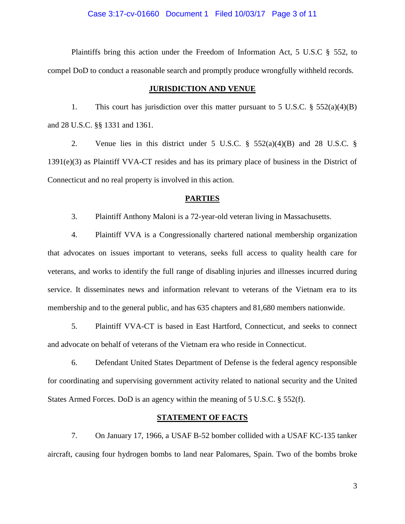### Case 3:17-cv-01660 Document 1 Filed 10/03/17 Page 3 of 11

Plaintiffs bring this action under the Freedom of Information Act, 5 U.S.C § 552, to compel DoD to conduct a reasonable search and promptly produce wrongfully withheld records.

### **JURISDICTION AND VENUE**

1. This court has jurisdiction over this matter pursuant to 5 U.S.C.  $\S$  552(a)(4)(B) and 28 U.S.C. §§ 1331 and 1361.

2. Venue lies in this district under 5 U.S.C.  $\S$  552(a)(4)(B) and 28 U.S.C.  $\S$ 1391(e)(3) as Plaintiff VVA-CT resides and has its primary place of business in the District of Connecticut and no real property is involved in this action.

#### **PARTIES**

3. Plaintiff Anthony Maloni is a 72-year-old veteran living in Massachusetts.

4. Plaintiff VVA is a Congressionally chartered national membership organization that advocates on issues important to veterans, seeks full access to quality health care for veterans, and works to identify the full range of disabling injuries and illnesses incurred during service. It disseminates news and information relevant to veterans of the Vietnam era to its membership and to the general public, and has 635 chapters and 81,680 members nationwide.

5. Plaintiff VVA-CT is based in East Hartford, Connecticut, and seeks to connect and advocate on behalf of veterans of the Vietnam era who reside in Connecticut.

6. Defendant United States Department of Defense is the federal agency responsible for coordinating and supervising government activity related to national security and the United States Armed Forces. DoD is an agency within the meaning of 5 U.S.C. § 552(f).

## **STATEMENT OF FACTS**

7. On January 17, 1966, a USAF B-52 bomber collided with a USAF KC-135 tanker aircraft, causing four hydrogen bombs to land near Palomares, Spain. Two of the bombs broke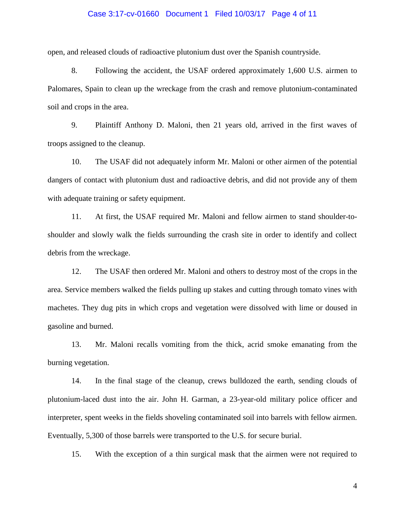### Case 3:17-cv-01660 Document 1 Filed 10/03/17 Page 4 of 11

open, and released clouds of radioactive plutonium dust over the Spanish countryside.

8. Following the accident, the USAF ordered approximately 1,600 U.S. airmen to Palomares, Spain to clean up the wreckage from the crash and remove plutonium-contaminated soil and crops in the area.

9. Plaintiff Anthony D. Maloni, then 21 years old, arrived in the first waves of troops assigned to the cleanup.

10. The USAF did not adequately inform Mr. Maloni or other airmen of the potential dangers of contact with plutonium dust and radioactive debris, and did not provide any of them with adequate training or safety equipment.

11. At first, the USAF required Mr. Maloni and fellow airmen to stand shoulder-toshoulder and slowly walk the fields surrounding the crash site in order to identify and collect debris from the wreckage.

12. The USAF then ordered Mr. Maloni and others to destroy most of the crops in the area. Service members walked the fields pulling up stakes and cutting through tomato vines with machetes. They dug pits in which crops and vegetation were dissolved with lime or doused in gasoline and burned.

13. Mr. Maloni recalls vomiting from the thick, acrid smoke emanating from the burning vegetation.

14. In the final stage of the cleanup, crews bulldozed the earth, sending clouds of plutonium-laced dust into the air. John H. Garman, a 23-year-old military police officer and interpreter, spent weeks in the fields shoveling contaminated soil into barrels with fellow airmen. Eventually, 5,300 of those barrels were transported to the U.S. for secure burial.

15. With the exception of a thin surgical mask that the airmen were not required to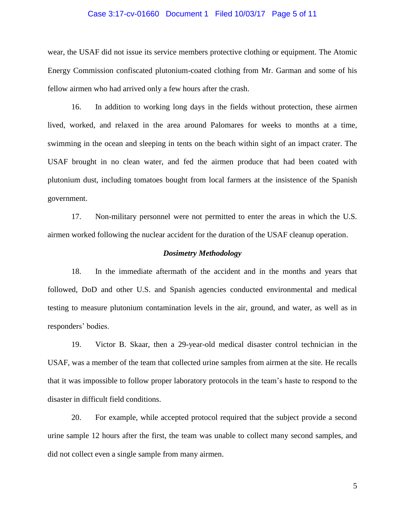### Case 3:17-cv-01660 Document 1 Filed 10/03/17 Page 5 of 11

wear, the USAF did not issue its service members protective clothing or equipment. The Atomic Energy Commission confiscated plutonium-coated clothing from Mr. Garman and some of his fellow airmen who had arrived only a few hours after the crash.

16. In addition to working long days in the fields without protection, these airmen lived, worked, and relaxed in the area around Palomares for weeks to months at a time, swimming in the ocean and sleeping in tents on the beach within sight of an impact crater. The USAF brought in no clean water, and fed the airmen produce that had been coated with plutonium dust, including tomatoes bought from local farmers at the insistence of the Spanish government.

17. Non-military personnel were not permitted to enter the areas in which the U.S. airmen worked following the nuclear accident for the duration of the USAF cleanup operation.

### *Dosimetry Methodology*

18. In the immediate aftermath of the accident and in the months and years that followed, DoD and other U.S. and Spanish agencies conducted environmental and medical testing to measure plutonium contamination levels in the air, ground, and water, as well as in responders' bodies.

19. Victor B. Skaar, then a 29-year-old medical disaster control technician in the USAF, was a member of the team that collected urine samples from airmen at the site. He recalls that it was impossible to follow proper laboratory protocols in the team's haste to respond to the disaster in difficult field conditions.

20. For example, while accepted protocol required that the subject provide a second urine sample 12 hours after the first, the team was unable to collect many second samples, and did not collect even a single sample from many airmen.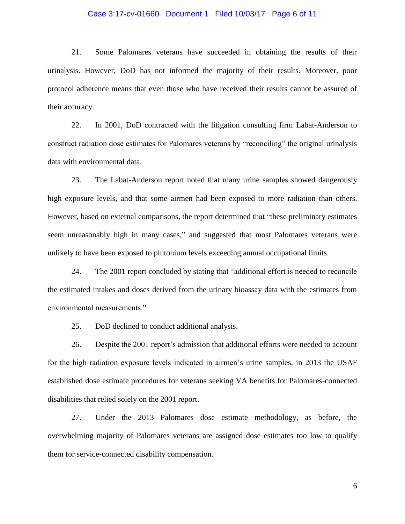### Case 3:17-cv-01660 Document 1 Filed 10/03/17 Page 6 of 11

21. Some Palomares veterans have succeeded in obtaining the results of their urinalysis. However, DoD has not informed the majority of their results. Moreover, poor protocol adherence means that even those who have received their results cannot be assured of their accuracy.

22. In 2001, DoD contracted with the litigation consulting firm Labat-Anderson to construct radiation dose estimates for Palomares veterans by "reconciling" the original urinalysis data with environmental data.

23. The Labat-Anderson report noted that many urine samples showed dangerously high exposure levels, and that some airmen had been exposed to more radiation than others. However, based on external comparisons, the report determined that "these preliminary estimates seem unreasonably high in many cases," and suggested that most Palomares veterans were unlikely to have been exposed to plutonium levels exceeding annual occupational limits.

24. The 2001 report concluded by stating that "additional effort is needed to reconcile the estimated intakes and doses derived from the urinary bioassay data with the estimates from environmental measurements."

25. DoD declined to conduct additional analysis.

26. Despite the 2001 report's admission that additional efforts were needed to account for the high radiation exposure levels indicated in airmen's urine samples, in 2013 the USAF established dose estimate procedures for veterans seeking VA benefits for Palomares-connected disabilities that relied solely on the 2001 report.

27. Under the 2013 Palomares dose estimate methodology, as before, the overwhelming majority of Palomares veterans are assigned dose estimates too low to qualify them for service-connected disability compensation.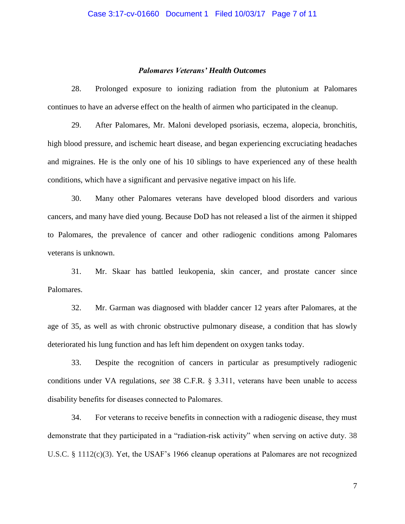## *Palomares Veterans' Health Outcomes*

28. Prolonged exposure to ionizing radiation from the plutonium at Palomares continues to have an adverse effect on the health of airmen who participated in the cleanup.

29. After Palomares, Mr. Maloni developed psoriasis, eczema, alopecia, bronchitis, high blood pressure, and ischemic heart disease, and began experiencing excruciating headaches and migraines. He is the only one of his 10 siblings to have experienced any of these health conditions, which have a significant and pervasive negative impact on his life.

30. Many other Palomares veterans have developed blood disorders and various cancers, and many have died young. Because DoD has not released a list of the airmen it shipped to Palomares, the prevalence of cancer and other radiogenic conditions among Palomares veterans is unknown.

31. Mr. Skaar has battled leukopenia, skin cancer, and prostate cancer since Palomares.

32. Mr. Garman was diagnosed with bladder cancer 12 years after Palomares, at the age of 35, as well as with chronic obstructive pulmonary disease, a condition that has slowly deteriorated his lung function and has left him dependent on oxygen tanks today.

33. Despite the recognition of cancers in particular as presumptively radiogenic conditions under VA regulations, *see* 38 C.F.R. § 3.311, veterans have been unable to access disability benefits for diseases connected to Palomares.

34. For veterans to receive benefits in connection with a radiogenic disease, they must demonstrate that they participated in a "radiation-risk activity" when serving on active duty. 38 U.S.C. § 1112(c)(3). Yet, the USAF's 1966 cleanup operations at Palomares are not recognized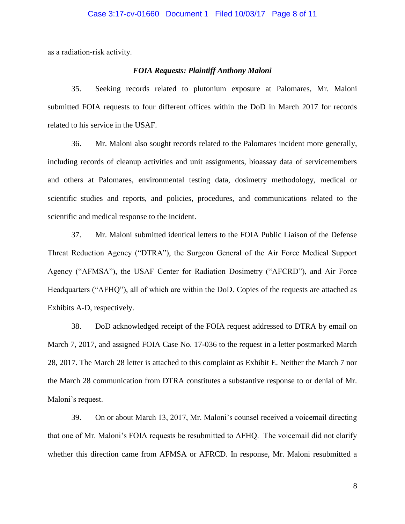as a radiation-risk activity.

# *FOIA Requests: Plaintiff Anthony Maloni*

35. Seeking records related to plutonium exposure at Palomares, Mr. Maloni submitted FOIA requests to four different offices within the DoD in March 2017 for records related to his service in the USAF.

36. Mr. Maloni also sought records related to the Palomares incident more generally, including records of cleanup activities and unit assignments, bioassay data of servicemembers and others at Palomares, environmental testing data, dosimetry methodology, medical or scientific studies and reports, and policies, procedures, and communications related to the scientific and medical response to the incident.

37. Mr. Maloni submitted identical letters to the FOIA Public Liaison of the Defense Threat Reduction Agency ("DTRA"), the Surgeon General of the Air Force Medical Support Agency ("AFMSA"), the USAF Center for Radiation Dosimetry ("AFCRD"), and Air Force Headquarters ("AFHQ"), all of which are within the DoD. Copies of the requests are attached as Exhibits A-D, respectively.

38. DoD acknowledged receipt of the FOIA request addressed to DTRA by email on March 7, 2017, and assigned FOIA Case No. 17-036 to the request in a letter postmarked March 28, 2017. The March 28 letter is attached to this complaint as Exhibit E. Neither the March 7 nor the March 28 communication from DTRA constitutes a substantive response to or denial of Mr. Maloni's request.

39. On or about March 13, 2017, Mr. Maloni's counsel received a voicemail directing that one of Mr. Maloni's FOIA requests be resubmitted to AFHQ. The voicemail did not clarify whether this direction came from AFMSA or AFRCD. In response, Mr. Maloni resubmitted a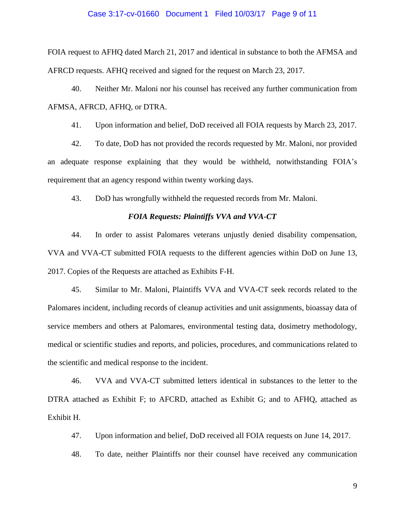### Case 3:17-cv-01660 Document 1 Filed 10/03/17 Page 9 of 11

FOIA request to AFHQ dated March 21, 2017 and identical in substance to both the AFMSA and AFRCD requests. AFHQ received and signed for the request on March 23, 2017.

40. Neither Mr. Maloni nor his counsel has received any further communication from AFMSA, AFRCD, AFHQ, or DTRA.

41. Upon information and belief, DoD received all FOIA requests by March 23, 2017.

42. To date, DoD has not provided the records requested by Mr. Maloni, nor provided an adequate response explaining that they would be withheld, notwithstanding FOIA's requirement that an agency respond within twenty working days.

43. DoD has wrongfully withheld the requested records from Mr. Maloni.

### *FOIA Requests: Plaintiffs VVA and VVA-CT*

44. In order to assist Palomares veterans unjustly denied disability compensation, VVA and VVA-CT submitted FOIA requests to the different agencies within DoD on June 13, 2017. Copies of the Requests are attached as Exhibits F-H.

45. Similar to Mr. Maloni, Plaintiffs VVA and VVA-CT seek records related to the Palomares incident, including records of cleanup activities and unit assignments, bioassay data of service members and others at Palomares, environmental testing data, dosimetry methodology, medical or scientific studies and reports, and policies, procedures, and communications related to the scientific and medical response to the incident.

46. VVA and VVA-CT submitted letters identical in substances to the letter to the DTRA attached as Exhibit F; to AFCRD, attached as Exhibit G; and to AFHQ, attached as Exhibit H.

47. Upon information and belief, DoD received all FOIA requests on June 14, 2017.

48. To date, neither Plaintiffs nor their counsel have received any communication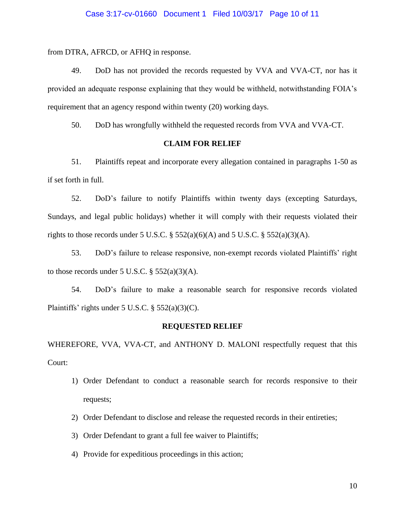### Case 3:17-cv-01660 Document 1 Filed 10/03/17 Page 10 of 11

from DTRA, AFRCD, or AFHQ in response.

49. DoD has not provided the records requested by VVA and VVA-CT, nor has it provided an adequate response explaining that they would be withheld, notwithstanding FOIA's requirement that an agency respond within twenty (20) working days.

50. DoD has wrongfully withheld the requested records from VVA and VVA-CT.

### **CLAIM FOR RELIEF**

51. Plaintiffs repeat and incorporate every allegation contained in paragraphs 1-50 as if set forth in full.

52. DoD's failure to notify Plaintiffs within twenty days (excepting Saturdays, Sundays, and legal public holidays) whether it will comply with their requests violated their rights to those records under 5 U.S.C.  $\S$  552(a)(6)(A) and 5 U.S.C.  $\S$  552(a)(3)(A).

53. DoD's failure to release responsive, non-exempt records violated Plaintiffs' right to those records under 5 U.S.C.  $\S$  552(a)(3)(A).

54. DoD's failure to make a reasonable search for responsive records violated Plaintiffs' rights under 5 U.S.C.  $\S$  552(a)(3)(C).

#### **REQUESTED RELIEF**

WHEREFORE, VVA, VVA-CT, and ANTHONY D. MALONI respectfully request that this Court:

- 1) Order Defendant to conduct a reasonable search for records responsive to their requests;
- 2) Order Defendant to disclose and release the requested records in their entireties;
- 3) Order Defendant to grant a full fee waiver to Plaintiffs;
- 4) Provide for expeditious proceedings in this action;